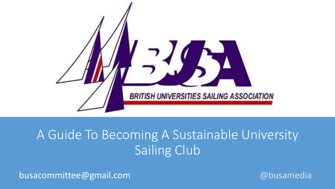

### A Guide To Becoming A Sustainable University Sailing Club

busacommittee@gmail.com @busamedia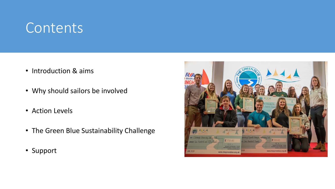### **Contents**

- Introduction & aims
- Why should sailors be involved
- Action Levels
- The Green Blue Sustainability Challenge
- Support

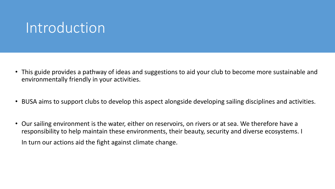### Introduction

- This guide provides a pathway of ideas and suggestions to aid your club to become more sustainable and environmentally friendly in your activities.
- BUSA aims to support clubs to develop this aspect alongside developing sailing disciplines and activities.
- Our sailing environment is the water, either on reservoirs, on rivers or at sea. We therefore have a responsibility to help maintain these environments, their beauty, security and diverse ecosystems. I In turn our actions aid the fight against climate change.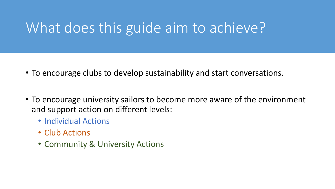# What does this guide aim to achieve?

- To encourage clubs to develop sustainability and start conversations.
- To encourage university sailors to become more aware of the environment and support action on different levels:
	- Individual Actions
	- Club Actions
	- Community & University Actions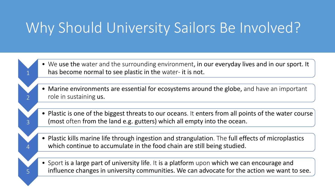# Why Should University Sailors Be Involved?

1

 $\overline{\mathcal{L}}$ 

3

4

5

- We use the water and the surrounding environment, in our everyday lives and in our sport. It has become normal to see plastic in the water- it is not.
- Marine environments are essential for ecosystems around the globe, and have an important role in sustaining us.
- Plastic is one of the biggest threats to our oceans. It enters from all points of the water course (most often from the land e.g. gutters) which all empty into the ocean.
- Plastic kills marine life through ingestion and strangulation. The full effects of microplastics which continue to accumulate in the food chain are still being studied.
- Sport is a large part of university life. It is a platform upon which we can encourage and influence changes in university communities. We can advocate for the action we want to see.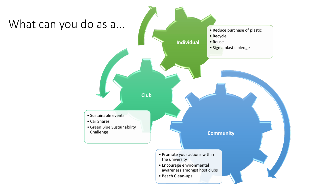#### What can you do as a...

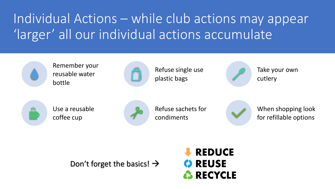# Individual Actions – while club actions may appear 'larger' all our individual actions accumulate



Remember your reusable water bottle



Refuse single use plastic bags



Take your own cutlery



Use a reusable coffee cup



Refuse sachets for condiments



When shopping look for refillable options

Don't forget the basics!  $\rightarrow$ 

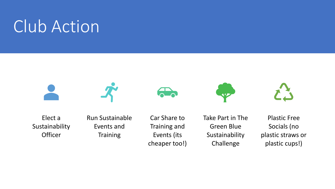# Club Action







**AYA** 



Elect a Sustainability **Officer** 

Run Sustainable Events and **Training** 

Car Share to Training and Events (its cheaper too!) Take Part in The Green Blue Sustainability Challenge

Plastic Free Socials (no plastic straws or plastic cups!)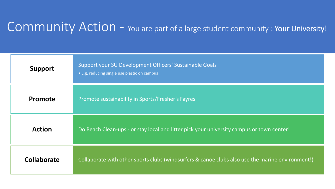#### Community Action - You are part of a large student community : Your University!

| <b>Support</b> | Support your SU Development Officers' Sustainable Goals<br>• E.g. reducing single use plastic on campus |
|----------------|---------------------------------------------------------------------------------------------------------|
| Promote        | Promote sustainability in Sports/Fresher's Fayres                                                       |
| <b>Action</b>  | Do Beach Clean-ups - or stay local and litter pick your university campus or town center!               |
| Collaborate    | Collaborate with other sports clubs (windsurfers & canoe clubs also use the marine environment!)        |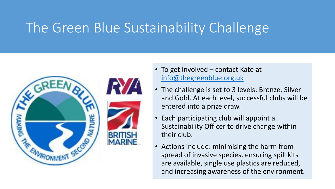## The Green Blue Sustainability Challenge





- To get involved contact Kate at [info@thegreenblue.org.uk](mailto:info@thegreenblue.org.uk)
- The challenge is set to 3 levels: Bronze, Silver and Gold. At each level, successful clubs will be entered into a prize draw.
- Each participating club will appoint a Sustainability Officer to drive change within their club.
- Actions include: minimising the harm from spread of invasive species, ensuring spill kits are available, single use plastics are reduced, and increasing awareness of the environment.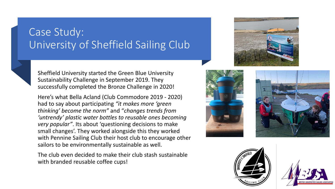#### Case Study: University of Sheffield Sailing Club



Sheffield University started the Green Blue University Sustainability Challenge in September 2019. They successfully completed the Bronze Challenge in 2020!

Here's what Bella Acland (Club Commodore 2019 - 2020) had to say about participating *"it makes more 'green thinking' become the norm"* and "*changes trends from 'untrendy' plastic water bottles to reusable ones becoming very popular"*. Its about 'questioning decisions to make small changes'. They worked alongside this they worked with Pennine Sailing Club their host club to encourage other sailors to be environmentally sustainable as well.

The club even decided to make their club stash sustainable with branded reusable coffee cups!